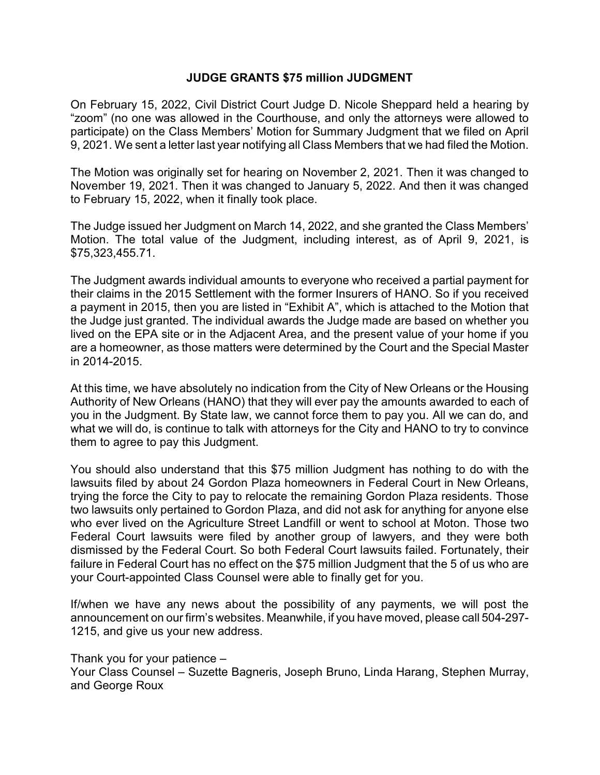# **JUDGE GRANTS \$75 million JUDGMENT**

On February 15, 2022, Civil District Court Judge D. Nicole Sheppard held a hearing by "zoom" (no one was allowed in the Courthouse, and only the attorneys were allowed to participate) on the Class Members' Motion for Summary Judgment that we filed on April 9, 2021. We sent a letter last year notifying all Class Members that we had filed the Motion.

The Motion was originally set for hearing on November 2, 2021. Then it was changed to November 19, 2021. Then it was changed to January 5, 2022. And then it was changed to February 15, 2022, when it finally took place.

The Judge issued her Judgment on March 14, 2022, and she granted the Class Members' Motion. The total value of the Judgment, including interest, as of April 9, 2021, is \$75,323,455.71.

The Judgment awards individual amounts to everyone who received a partial payment for their claims in the 2015 Settlement with the former Insurers of HANO. So if you received a payment in 2015, then you are listed in "Exhibit A", which is attached to the Motion that the Judge just granted. The individual awards the Judge made are based on whether you lived on the EPA site or in the Adjacent Area, and the present value of your home if you are a homeowner, as those matters were determined by the Court and the Special Master in 2014-2015.

At this time, we have absolutely no indication from the City of New Orleans or the Housing Authority of New Orleans (HANO) that they will ever pay the amounts awarded to each of you in the Judgment. By State law, we cannot force them to pay you. All we can do, and what we will do, is continue to talk with attorneys for the City and HANO to try to convince them to agree to pay this Judgment.

You should also understand that this \$75 million Judgment has nothing to do with the lawsuits filed by about 24 Gordon Plaza homeowners in Federal Court in New Orleans, trying the force the City to pay to relocate the remaining Gordon Plaza residents. Those two lawsuits only pertained to Gordon Plaza, and did not ask for anything for anyone else who ever lived on the Agriculture Street Landfill or went to school at Moton. Those two Federal Court lawsuits were filed by another group of lawyers, and they were both dismissed by the Federal Court. So both Federal Court lawsuits failed. Fortunately, their failure in Federal Court has no effect on the \$75 million Judgment that the 5 of us who are your Court-appointed Class Counsel were able to finally get for you.

If/when we have any news about the possibility of any payments, we will post the announcement on our firm's websites. Meanwhile, if you have moved, please call 504-297- 1215, and give us your new address.

Thank you for your patience – Your Class Counsel – Suzette Bagneris, Joseph Bruno, Linda Harang, Stephen Murray, and George Roux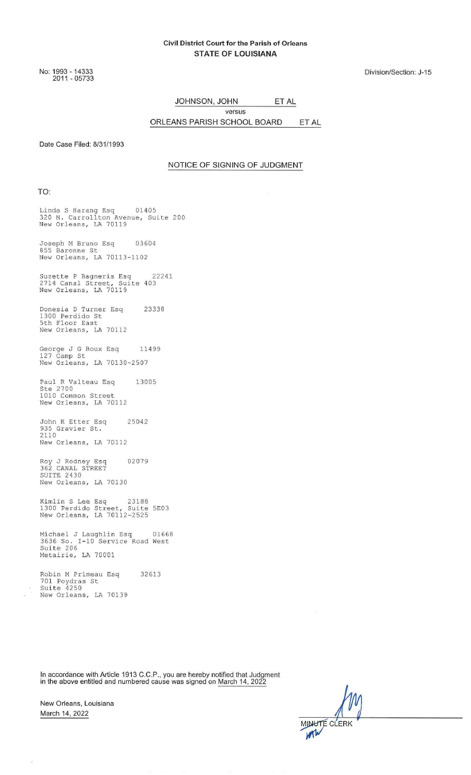#### Civil District Court for the Parish of Orleans **STATE OF LOUISIANA**

No: 1993 - 14333<br>2011 - 05733

Division/Section: J-15

JOHNSON, JOHN ET AL versus

ORLEANS PARISH SCHOOL BOARD ET AL

Date Case Filed: 8/31/1993

#### NOTICE OF SIGNING OF JUDGMENT

TO:

Linda S Harang Esq 01405<br>320 N. Carrollton Avenue, Suite 200<br>New Orleans, LA 70119

Joseph M Bruno Esq 03604 855 Baronne St<br>New Orleans, LA 70113-1102

Suzette P Bagneris Esq 22<br>2714 Canal Street, Suite 403<br>New Orleans, LA 70119 22241

Donesia D Turner Esq<br>1300 Perdido St<br>5th Floor East 23338 New Orleans, LA 70112

George J G Roux Esq 11<br>127 Camp St<br>New Orleans, LA 70130-2507 11499

Paul R Valteau Esq<br>Ste 2700<br>1010 Common Street 13005 New Orleans, LA 70112

John K Etter Esq 25042 935 Gravier St.<br>2110 New Orleans, LA 70112

Roy J Rodney Esq<br>362 CANAL STREET<br>SUITE 2430<br>New Orleans, LA 70130 02079

Kimlin S Lee Esq 23188<br>1300 Perdido Street, Suite 5E03<br>New Orleans, LA 70112-2525

Michael J Laughlin Esq 0166<br>3636 So. I-10 Service Road West<br>Suite 206 01668 Metairie, LA 70001

Robin M Primeau Esq 32613 701 Poydras St<br>Suite 4250 New Orleans, LA 70139

In accordance with Article 1913 C.C.P., you are hereby notified that Judgment in the above entitled and numbered cause was signed on March 14, 2022

New Orleans, Louisiana March 14, 2022

 $\bar{z}$ 

**MINUTE CLERK** m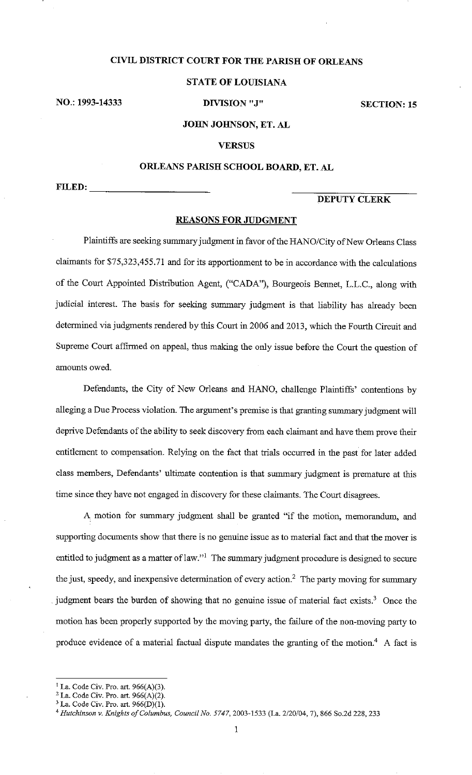### **CIVIL DISTRICT COURT FOR THE PARISH OF ORLEANS**

### **STATE OF LOUISIANA**

NO.: 1993-14333

DIVISION "J"

**SECTION: 15** 

### JOHN JOHNSON, ET. AL

### **VERSUS**

### ORLEANS PARISH SCHOOL BOARD, ET. AL

FILED:

# **DEPUTY CLERK**

#### **REASONS FOR JUDGMENT**

Plaintiffs are seeking summary judgment in favor of the HANO/City of New Orleans Class claimants for \$75,323,455.71 and for its apportionment to be in accordance with the calculations of the Court Appointed Distribution Agent, ("CADA"), Bourgeois Bennet, L.L.C., along with judicial interest. The basis for seeking summary judgment is that liability has already been determined via judgments rendered by this Court in 2006 and 2013, which the Fourth Circuit and Supreme Court affirmed on appeal, thus making the only issue before the Court the question of amounts owed.

Defendants, the City of New Orleans and HANO, challenge Plaintiffs' contentions by alleging a Due Process violation. The argument's premise is that granting summary judgment will deprive Defendants of the ability to seek discovery from each claimant and have them prove their entitlement to compensation. Relying on the fact that trials occurred in the past for later added class members, Defendants' ultimate contention is that summary judgment is premature at this time since they have not engaged in discovery for these claimants. The Court disagrees.

A motion for summary judgment shall be granted "if the motion, memorandum, and supporting documents show that there is no genuine issue as to material fact and that the mover is entitled to judgment as a matter of law."<sup>1</sup> The summary judgment procedure is designed to secure the just, speedy, and inexpensive determination of every action.<sup>2</sup> The party moving for summary judgment bears the burden of showing that no genuine issue of material fact exists.<sup>3</sup> Once the motion has been properly supported by the moving party, the failure of the non-moving party to produce evidence of a material factual dispute mandates the granting of the motion.<sup>4</sup> A fact is

<sup>&</sup>lt;sup>1</sup> La. Code Civ. Pro. art.  $966(A)(3)$ .

<sup>&</sup>lt;sup>2</sup> La. Code Civ. Pro. art.  $966(A)(2)$ .

<sup>&</sup>lt;sup>3</sup> La. Code Civ. Pro. art.  $966(D)(1)$ .

<sup>&</sup>lt;sup>4</sup> Hutchinson v. Knights of Columbus, Council No. 5747, 2003-1533 (La. 2/20/04, 7), 866 So.2d 228, 233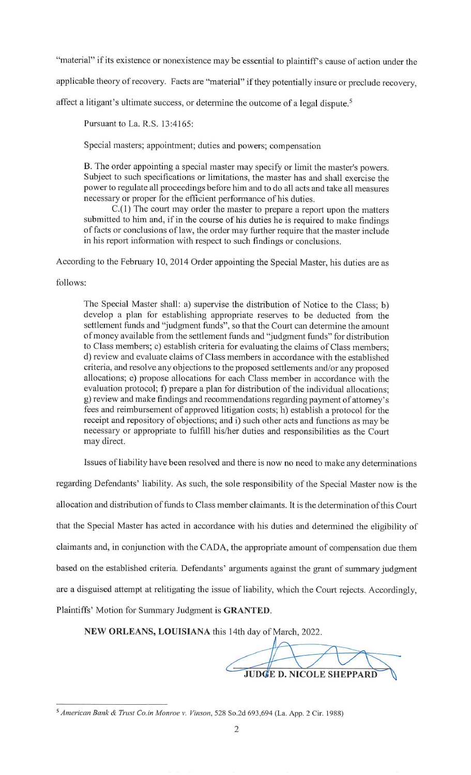"material" if its existence or nonexistence may be essential to plaintiff's cause of action under the

applicable theory of recovery. Facts are "material" if they potentially insure or preclude recovery,

affect a litigant's ultimate success, or determine the outcome of a legal dispute.<sup>5</sup>

Pursuant to La. R.S. 13:4165:

Special masters; appointment; duties and powers; compensation

B. The order appointing a special master may specify or limit the master's powers. Subject to such specifications or limitations, the master has and shall exercise the power to regulate all proceedings before him and to do all acts and take all measures necessary or proper for the efficient performance of his duties.

 $C(1)$  The court may order the master to prepare a report upon the matters submitted to him and, if in the course of his duties he is required to make findings of facts or conclusions of law, the order may further require that the master include in his report information with respect to such findings or conclusions.

According to the February 10, 2014 Order appointing the Special Master, his duties are as

### follows:

The Special Master shall: a) supervise the distribution of Notice to the Class; b) develop a plan for establishing appropriate reserves to be deducted from the settlement funds and "judgment funds", so that the Court can determine the amount of money available from the settlement funds and "judgment funds" for distribution to Class members; c) establish criteria for evaluating the claims of Class members; d) review and evaluate claims of Class members in accordance with the established criteria, and resolve any objections to the proposed settlements and/or any proposed allocations; e) propose allocations for each Class member in accordance with the evaluation protocol; f) prepare a plan for distribution of the individual allocations; g) review and make findings and recommendations regarding payment of attorney's fees and reimbursement of approved litigation costs; h) establish a protocol for the receipt and repository of objections; and i) such other acts and functions as may be necessary or appropriate to fulfill his/her duties and responsibilities as the Court may direct.

Issues of liability have been resolved and there is now no need to make any determinations

regarding Defendants' liability. As such, the sole responsibility of the Special Master now is the allocation and distribution of funds to Class member claimants. It is the determination of this Court that the Special Master has acted in accordance with his duties and determined the eligibility of claimants and, in conjunction with the CADA, the appropriate amount of compensation due them based on the established criteria. Defendants' arguments against the grant of summary judgment are a disguised attempt at relitigating the issue of liability, which the Court rejects. Accordingly, Plaintiffs' Motion for Summary Judgment is GRANTED.

NEW ORLEANS, LOUISIANA this 14th day of March, 2022.

**JUDGE D. NICOLE SHEPPARD** 

<sup>&</sup>lt;sup>5</sup> American Bank & Trust Co.in Monroe v. Vinson, 528 So.2d 693,694 (La. App. 2 Cir. 1988)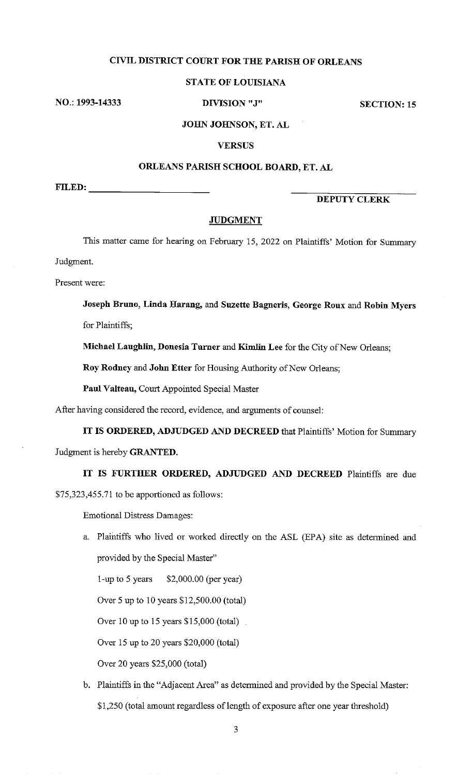# CIVIL DISTRICT COURT FOR THE PARISH OF ORLEANS

### **STATE OF LOUISIANA**

NO.: 1993-14333

DIVISION "J"

**SECTION: 15** 

### JOHN JOHNSON, ET. AL

### **VERSUS**

### ORLEANS PARISH SCHOOL BOARD, ET. AL

 $FILED:$ 

# **DEPUTY CLERK**

### **JUDGMENT**

This matter came for hearing on February 15, 2022 on Plaintiffs' Motion for Summary

Judgment.

Present were:

Joseph Bruno, Linda Harang, and Suzette Bagneris, George Roux and Robin Myers

for Plaintiffs;

Michael Laughlin, Donesia Turner and Kimlin Lee for the City of New Orleans;

Roy Rodney and John Etter for Housing Authority of New Orleans;

Paul Valteau, Court Appointed Special Master

After having considered the record, evidence, and arguments of counsel:

IT IS ORDERED, ADJUDGED AND DECREED that Plaintiffs' Motion for Summary Judgment is hereby GRANTED.

IT IS FURTHER ORDERED, ADJUDGED AND DECREED Plaintiffs are due \$75,323,455.71 to be apportioned as follows:

**Emotional Distress Damages:** 

a. Plaintiffs who lived or worked directly on the ASL (EPA) site as determined and provided by the Special Master"

1-up to 5 years  $$2,000.00$  (per year)

Over 5 up to 10 years \$12,500.00 (total)

Over 10 up to 15 years \$15,000 (total).

Over 15 up to 20 years \$20,000 (total)

Over 20 years \$25,000 (total)

b. Plaintiffs in the "Adjacent Area" as determined and provided by the Special Master: \$1,250 (total amount regardless of length of exposure after one year threshold)